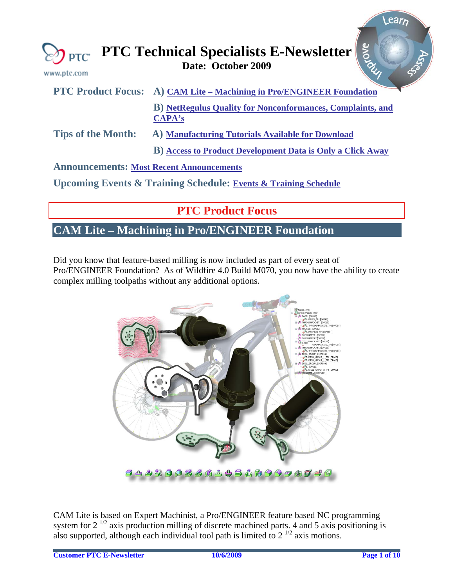<span id="page-0-0"></span>

| www.ptc.com                                     | grove<br>$\sqrt{\frac{P}{PTC}}$ PTC Technical Specialists E-Newsletter Date: October 2009 |  |  |  |  |  |
|-------------------------------------------------|-------------------------------------------------------------------------------------------|--|--|--|--|--|
|                                                 | PTC Product Focus: A) CAM Lite – Machining in Pro/ENGINEER Foundation                     |  |  |  |  |  |
|                                                 | <b>B)</b> NetRegulus Quality for Nonconformances, Complaints, and<br><b>CAPA's</b>        |  |  |  |  |  |
| <b>Tips of the Month:</b>                       | A) Manufacturing Tutorials Available for Download                                         |  |  |  |  |  |
|                                                 | <b>B)</b> Access to Product Development Data is Only a Click Away                         |  |  |  |  |  |
| <b>Announcements: Most Recent Announcements</b> |                                                                                           |  |  |  |  |  |
|                                                 | <b>Upcoming Events &amp; Training Schedule: Events &amp; Training Schedule</b>            |  |  |  |  |  |

# **PTC Product Focus**

# **CAM Lite – Machining in Pro/ENGINEER Foundation**

Did you know that feature-based milling is now included as part of every seat of Pro/ENGINEER Foundation? As of Wildfire 4.0 Build M070, you now have the ability to create complex milling toolpaths without any additional options.



CAM Lite is based on Expert Machinist, a Pro/ENGINEER feature based NC programming system for  $2^{1/2}$  axis production milling of discrete machined parts. 4 and 5 axis positioning is also supported, although each individual tool path is limited to  $2^{1/2}$  axis motions.

*<u>Nearn</u>*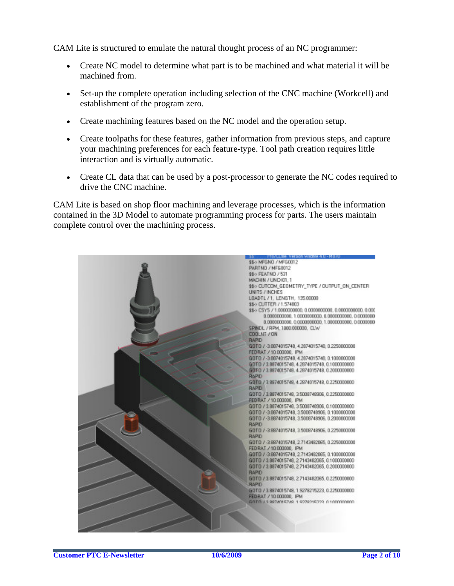CAM Lite is structured to emulate the natural thought process of an NC programmer:

- Create NC model to determine what part is to be machined and what material it will be machined from.
- Set-up the complete operation including selection of the CNC machine (Workcell) and establishment of the program zero.
- Create machining features based on the NC model and the operation setup.
- Create toolpaths for these features, gather information from previous steps, and capture your machining preferences for each feature-type. Tool path creation requires little interaction and is virtually automatic.
- Create CL data that can be used by a post-processor to generate the NC codes required to drive the CNC machine.

CAM Lite is based on shop floor machining and leverage processes, which is the information contained in the 3D Model to automate programming process for parts. The users maintain complete control over the machining process.

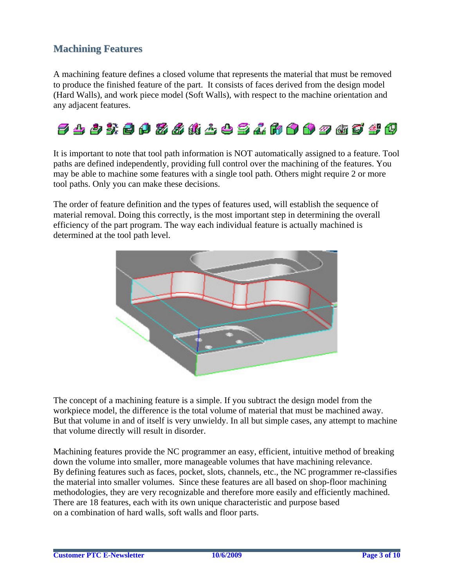## **Machining Features**

A machining feature defines a closed volume that represents the material that must be removed to produce the finished feature of the part. It consists of faces derived from the design model (Hard Walls), and work piece model (Soft Walls), with respect to the machine orientation and any adjacent features.

# 544520866445460094640

It is important to note that tool path information is NOT automatically assigned to a feature. Tool paths are defined independently, providing full control over the machining of the features. You may be able to machine some features with a single tool path. Others might require 2 or more tool paths. Only you can make these decisions.

The order of feature definition and the types of features used, will establish the sequence of material removal. Doing this correctly, is the most important step in determining the overall efficiency of the part program. The way each individual feature is actually machined is determined at the tool path level.



The concept of a machining feature is a simple. If you subtract the design model from the workpiece model, the difference is the total volume of material that must be machined away. But that volume in and of itself is very unwieldy. In all but simple cases, any attempt to machine that volume directly will result in disorder.

Machining features provide the NC programmer an easy, efficient, intuitive method of breaking down the volume into smaller, more manageable volumes that have machining relevance. By defining features such as faces, pocket, slots, channels, etc., the NC programmer re-classifies the material into smaller volumes. Since these features are all based on shop-floor machining methodologies, they are very recognizable and therefore more easily and efficiently machined. There are 18 features, each with its own unique characteristic and purpose based on a combination of hard walls, soft walls and floor parts.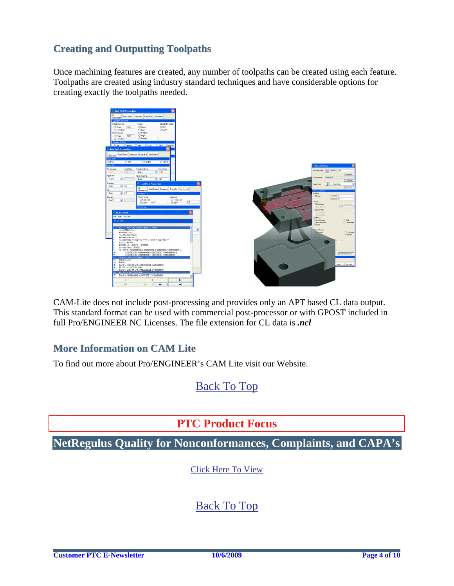## <span id="page-3-0"></span>**Creating and Outputting Toolpaths**

Once machining features are created, any number of toolpaths can be created using each feature. Toolpaths are created using industry standard techniques and have considerable options for creating exactly the toolpaths needed.



CAM-Lite does not include post-processing and provides only an APT based CL data output. This standard format can be used with commercial post-processor or with GPOST included in full Pro/ENGINEER NC Licenses. The file extension for CL data is *.ncl*

## **More Information on CAM Lite**

To find out more about Pro/ENGINEER's CAM Lite visit our Website.

[Back To Top](#page-0-0)

## **PTC Product Focus**

**NetRegulus Quality for Nonconformances, Complaints, and CAPA's** 

[Click Here To View](http://members.shaw.ca/jpeng/newsletter/PTC_Technical_Specialists_E-Newsletter_2009_10_enterprise.pdf)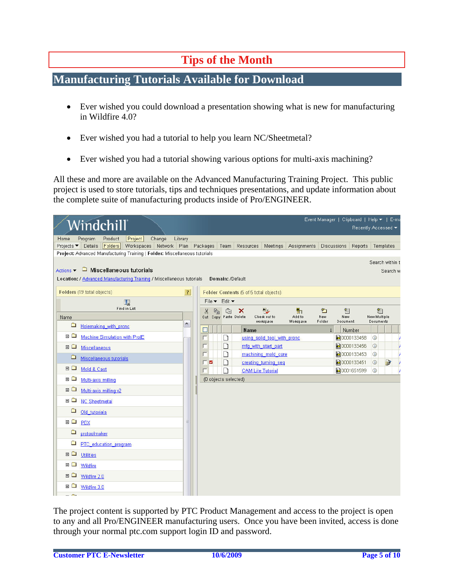# **Tips of the Month**

## <span id="page-4-0"></span>**Manufacturing Tutorials Available for Download**

- Ever wished you could download a presentation showing what is new for manufacturing in Wildfire 4.0?
- Ever wished you had a tutorial to help you learn NC/Sheetmetal?
- Ever wished you had a tutorial showing various options for multi-axis machining?

All these and more are available on the Advanced Manufacturing Training Project. This public project is used to store tutorials, tips and techniques presentations, and update information about the complete suite of manufacturing products inside of Pro/ENGINEER.

|                  |                           | Windchill                  |                               |                                                                                                                                                          |        |                           |   |                            |                                 |                          |                                        |                      | Event Manager   Clipboard   Help ▼   E-ma |                                | Recently Accessed ▼ |                    |                             |  |
|------------------|---------------------------|----------------------------|-------------------------------|----------------------------------------------------------------------------------------------------------------------------------------------------------|--------|---------------------------|---|----------------------------|---------------------------------|--------------------------|----------------------------------------|----------------------|-------------------------------------------|--------------------------------|---------------------|--------------------|-----------------------------|--|
| <b>Home</b>      |                           | Program                    | Product                       | Project                                                                                                                                                  | Change | Library                   |   |                            |                                 |                          |                                        |                      |                                           |                                |                     |                    |                             |  |
|                  |                           |                            |                               | Projects ▼ Details Folders Workspaces Network Plan Packages Team Resources<br>Project: Advanced Manufacturing Training   Folder: Miscellaneous tutorials |        |                           |   |                            |                                 |                          |                                        | Meetings Assignments |                                           | <b>Discussions</b>             | Reports Templates   |                    |                             |  |
| Actions <b>v</b> |                           |                            |                               | $\Box$ Miscellaneous tutorials<br>Location: / Advanced Manufacturing Training / Miscellaneous tutorials                                                  |        |                           |   |                            |                                 | Domain: /Default         |                                        |                      |                                           |                                |                     |                    | Search within t<br>Search w |  |
|                  |                           | Folders (19 total objects) |                               |                                                                                                                                                          |        | 2                         |   |                            |                                 |                          | Folder Contents (5 of 5 total objects) |                      |                                           |                                |                     |                    |                             |  |
|                  |                           |                            |                               | 眼                                                                                                                                                        |        |                           |   |                            | File v Edit v                   |                          |                                        |                      |                                           |                                |                     |                    |                             |  |
|                  | Find in List<br>Name      |                            |                               |                                                                                                                                                          | Ж      | $\mathbb{B}_{\mathbb{B}}$ | Ĝ | ×<br>Cut Copy Paste Delete | س⊑<br>Check out to<br>workspace | 勖<br>Add to<br>Workspace | 行<br>New<br>Folder                     | 皙<br>New<br>Document |                                           | 旝<br>New Multiple<br>Documents |                     |                    |                             |  |
|                  | $\Box$                    | Holemaking with pronc      |                               |                                                                                                                                                          |        | $\hat{\phantom{a}}$       | E |                            |                                 |                          | <b>Name</b>                            |                      |                                           |                                | Number              |                    |                             |  |
|                  | 田口                        |                            | Machine Simulation with ProJE |                                                                                                                                                          |        |                           | г |                            | ┚                               |                          | using solid tool with pronc            |                      |                                           |                                | <b>£</b> 0000133458 | $\odot$            |                             |  |
|                  | 田口                        | Miscellaneous              |                               |                                                                                                                                                          |        |                           |   |                            | 孢                               |                          | mfg with start part                    |                      |                                           |                                | <b>a</b> 0000133456 | $\odot$            |                             |  |
|                  | ▭                         |                            | Miscellaneous tutorials       |                                                                                                                                                          |        |                           |   |                            | D                               |                          | machining mold core                    |                      |                                           |                                | <b>a</b> 0000133453 | $\odot$            |                             |  |
|                  | ⊞□                        | Mold & Cast                |                               |                                                                                                                                                          |        |                           | г | м                          | $\Box$<br>n                     |                          | creating turning seq                   |                      |                                           |                                | ■0000133451         | $\odot$<br>$\circ$ | P                           |  |
|                  | ⊞□                        | Multi-axis milling         |                               |                                                                                                                                                          |        |                           |   |                            |                                 | (0 objects selected)     | <b>CAM Lite Tutorial</b>               |                      |                                           |                                | ■0001651599         |                    |                             |  |
|                  |                           |                            |                               |                                                                                                                                                          |        |                           |   |                            |                                 |                          |                                        |                      |                                           |                                |                     |                    |                             |  |
|                  | 田口                        | Multi-axis milling v2      |                               |                                                                                                                                                          |        |                           |   |                            |                                 |                          |                                        |                      |                                           |                                |                     |                    |                             |  |
|                  | 田口                        | <b>NC Sheetmetal</b>       |                               |                                                                                                                                                          |        |                           |   |                            |                                 |                          |                                        |                      |                                           |                                |                     |                    |                             |  |
|                  | ▭                         | Old tutorials              |                               |                                                                                                                                                          |        |                           |   |                            |                                 |                          |                                        |                      |                                           |                                |                     |                    |                             |  |
|                  | $\blacksquare$            | PDX                        |                               |                                                                                                                                                          |        | $\equiv$                  |   |                            |                                 |                          |                                        |                      |                                           |                                |                     |                    |                             |  |
|                  | ▭                         | protoolmaker               |                               |                                                                                                                                                          |        |                           |   |                            |                                 |                          |                                        |                      |                                           |                                |                     |                    |                             |  |
|                  | ◘                         |                            | PTC education program         |                                                                                                                                                          |        |                           |   |                            |                                 |                          |                                        |                      |                                           |                                |                     |                    |                             |  |
|                  | ⊞□                        | <b>Utilities</b>           |                               |                                                                                                                                                          |        |                           |   |                            |                                 |                          |                                        |                      |                                           |                                |                     |                    |                             |  |
|                  | ▣□                        | Wildfire                   |                               |                                                                                                                                                          |        |                           |   |                            |                                 |                          |                                        |                      |                                           |                                |                     |                    |                             |  |
|                  |                           | 田 □ Wildfire 2.0           |                               |                                                                                                                                                          |        |                           |   |                            |                                 |                          |                                        |                      |                                           |                                |                     |                    |                             |  |
|                  | $\blacksquare$<br>$ \sim$ | Wildfire 3.0               |                               |                                                                                                                                                          |        |                           |   |                            |                                 |                          |                                        |                      |                                           |                                |                     |                    |                             |  |

The project content is supported by PTC Product Management and access to the project is open to any and all Pro/ENGINEER manufacturing users. Once you have been invited, access is done through your normal ptc.com support login ID and password.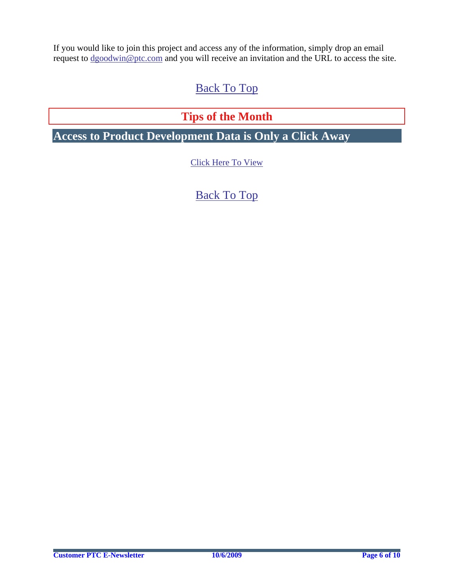<span id="page-5-0"></span>If you would like to join this project and access any of the information, simply drop an email request to [dgoodwin@ptc.com](mailto:dgoodwin@ptc.com) and you will receive an invitation and the URL to access the site.

# [Back To Top](#page-0-0)

# **Tips of the Month**

**Access to Product Development Data is Only a Click Away** 

[Click Here To View](http://members.shaw.ca/jpeng/newsletter/PTC_Technical_Specialists_E-Newsletter_2009_10_enterprise.pdf)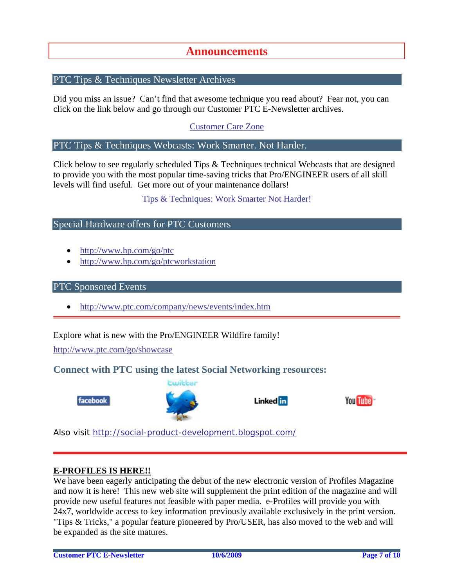## **Announcements**

### <span id="page-6-0"></span>PTC Tips & Techniques Newsletter Archives

Did you miss an issue? Can't find that awesome technique you read about? Fear not, you can click on the link below and go through our Customer PTC E-Newsletter archives.

[Customer Care Zone](http://www.ptc.com/carezone/)

### PTC Tips & Techniques Webcasts: Work Smarter. Not Harder.

Click below to see regularly scheduled Tips & Techniques technical Webcasts that are designed to provide you with the most popular time-saving tricks that Pro/ENGINEER users of all skill levels will find useful. Get more out of your maintenance dollars!

### [Tips & Techniques: Work Smarter Not Harder!](http://www.ptc.com/appserver/it/icm/cda/template_lib/events/series.jsp?&im_dbkey=11442&icg_dbkey=141)

### Special Hardware offers for PTC Customers

- <http://www.hp.com/go/ptc>
- <http://www.hp.com/go/ptcworkstation>

### PTC Sponsored Events

• http://www.ptc.com/company/news/events/index.htm

Explore what is new with the Pro/ENGINEER Wildfire family!

<http://www.ptc.com/go/showcase>

### **Connect with PTC using the latest Social Networking resources:**





Linked in



Also visit<http://social-product-development.blogspot.com/>

#### **E-PROFILES IS HERE!!**

We have been eagerly anticipating the debut of the new electronic version of Profiles Magazine and now it is here! This new web site will supplement the print edition of the magazine and will provide new useful features not feasible with paper media. e-Profiles will provide you with 24x7, worldwide access to key information previously available exclusively in the print version. "Tips & Tricks," a popular feature pioneered by Pro/USER, has also moved to the web and will be expanded as the site matures.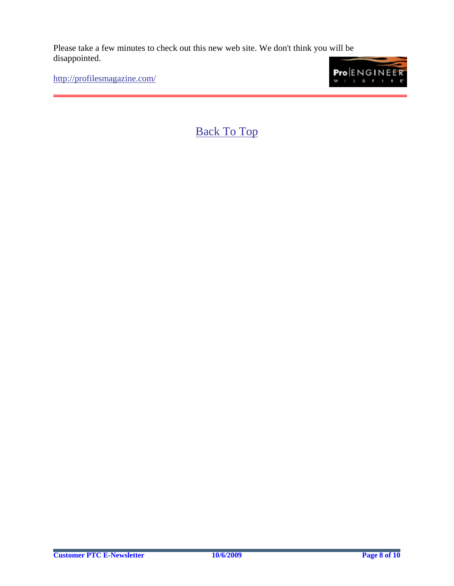Please take a few minutes to check out this new web site. We don't think you will be disappointed.

<http://profilesmagazine.com/>

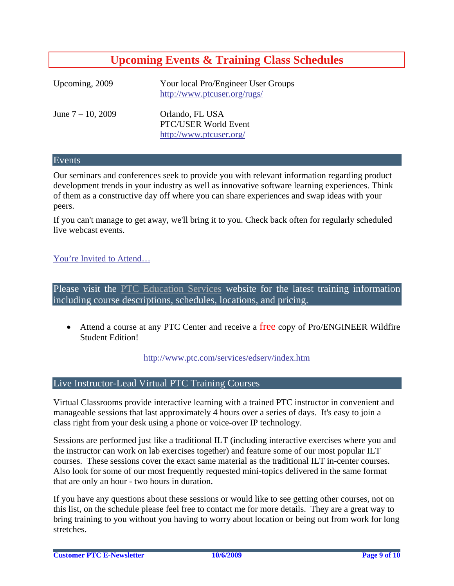# **Upcoming Events & Training Class Schedules**

<span id="page-8-0"></span>

| Upcoming, 2009       | Your local Pro/Engineer User Groups<br>http://www.ptcuser.org/rugs/ |
|----------------------|---------------------------------------------------------------------|
| June $7 - 10$ , 2009 | Orlando, FL USA<br>PTC/USER World Event<br>http://www.ptcuser.org/  |

### Events

Our seminars and conferences seek to provide you with relevant information regarding product development trends in your industry as well as innovative software learning experiences. Think of them as a constructive day off where you can share experiences and swap ideas with your peers.

If you can't manage to get away, we'll bring it to you. Check back often for regularly scheduled live webcast events.

### [You're Invited to Attend…](http://www.ptc.com/company/news/events/index.htm)

Please visit the [PTC Education Services](http://www.ptc.com/services/edserv/) website for the latest training information including course descriptions, schedules, locations, and pricing.

• Attend a course at any PTC Center and receive a free copy of Pro/ENGINEER Wildfire Student Edition!

<http://www.ptc.com/services/edserv/index.htm>

### Live Instructor-Lead Virtual PTC Training Courses

Virtual Classrooms provide interactive learning with a trained PTC instructor in convenient and manageable sessions that last approximately 4 hours over a series of days. It's easy to join a class right from your desk using a phone or voice-over IP technology.

Sessions are performed just like a traditional ILT (including interactive exercises where you and the instructor can work on lab exercises together) and feature some of our most popular ILT courses. These sessions cover the exact same material as the traditional ILT in-center courses. Also look for some of our most frequently requested mini-topics delivered in the same format that are only an hour - two hours in duration.

If you have any questions about these sessions or would like to see getting other courses, not on this list, on the schedule please feel free to contact me for more details. They are a great way to bring training to you without you having to worry about location or being out from work for long stretches.